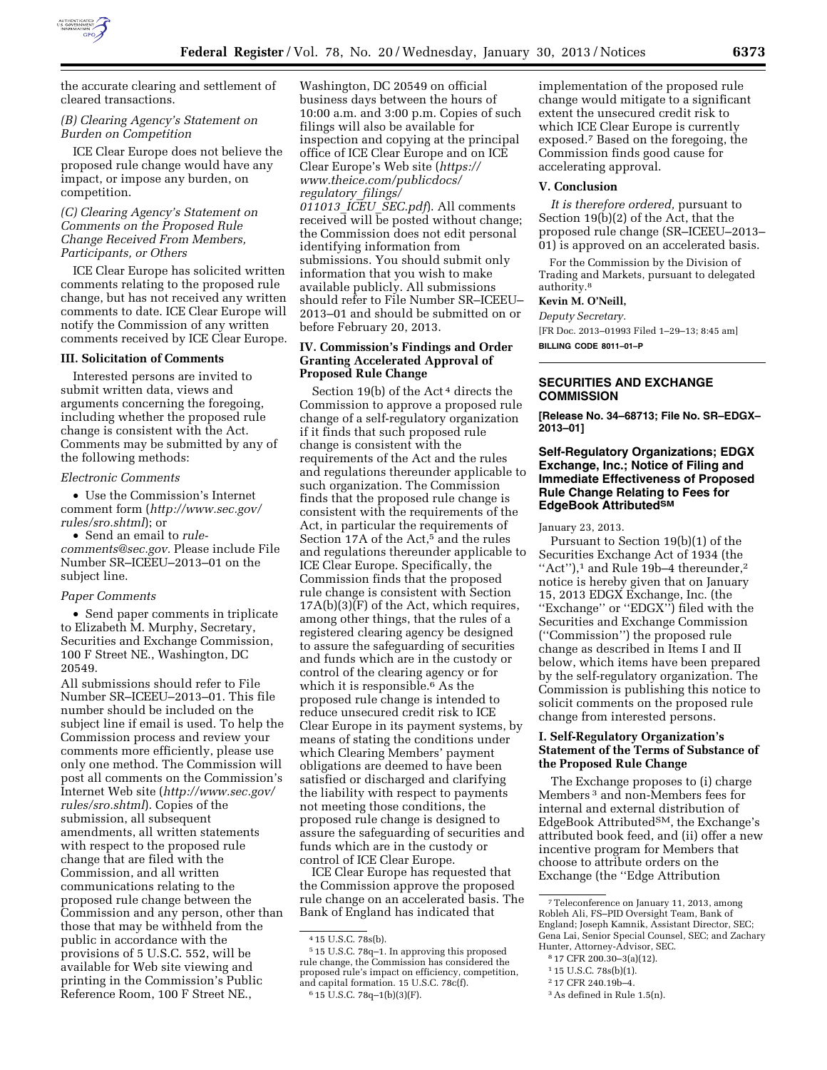

the accurate clearing and settlement of cleared transactions.

### *(B) Clearing Agency's Statement on Burden on Competition*

ICE Clear Europe does not believe the proposed rule change would have any impact, or impose any burden, on competition.

### *(C) Clearing Agency's Statement on Comments on the Proposed Rule Change Received From Members, Participants, or Others*

ICE Clear Europe has solicited written comments relating to the proposed rule change, but has not received any written comments to date. ICE Clear Europe will notify the Commission of any written comments received by ICE Clear Europe.

#### **III. Solicitation of Comments**

Interested persons are invited to submit written data, views and arguments concerning the foregoing, including whether the proposed rule change is consistent with the Act. Comments may be submitted by any of the following methods:

#### *Electronic Comments*

• Use the Commission's Internet comment form (*[http://www.sec.gov/](http://www.sec.gov/rules/sro.shtml)  [rules/sro.shtml](http://www.sec.gov/rules/sro.shtml)*); or

• Send an email to *[rule-](mailto:torule-comments@sec.gov)*

*[comments@sec.gov.](mailto:torule-comments@sec.gov)* Please include File Number SR–ICEEU–2013–01 on the subject line.

#### *Paper Comments*

• Send paper comments in triplicate to Elizabeth M. Murphy, Secretary, Securities and Exchange Commission, 100 F Street NE., Washington, DC 20549.

All submissions should refer to File Number SR–ICEEU–2013–01. This file number should be included on the subject line if email is used. To help the Commission process and review your comments more efficiently, please use only one method. The Commission will post all comments on the Commission's Internet Web site (*[http://www.sec.gov/](http://www.sec.gov/rules/sro.shtml)  [rules/sro.shtml](http://www.sec.gov/rules/sro.shtml)*). Copies of the submission, all subsequent amendments, all written statements with respect to the proposed rule change that are filed with the Commission, and all written communications relating to the proposed rule change between the Commission and any person, other than those that may be withheld from the public in accordance with the provisions of 5 U.S.C. 552, will be available for Web site viewing and printing in the Commission's Public Reference Room, 100 F Street NE.,

Washington, DC 20549 on official business days between the hours of 10:00 a.m. and 3:00 p.m. Copies of such filings will also be available for inspection and copying at the principal office of ICE Clear Europe and on ICE Clear Europe's Web site (*[https://](https://www.theice.com/publicdocs/regulatory_filings/011013_ICEU_SEC.pdf)  [www.theice.com/publicdocs/](https://www.theice.com/publicdocs/regulatory_filings/011013_ICEU_SEC.pdf) [regulatory](https://www.theice.com/publicdocs/regulatory_filings/011013_ICEU_SEC.pdf)*\_*filings/ 011013*\_*ICEU*\_*[SEC.pdf](https://www.theice.com/publicdocs/regulatory_filings/011013_ICEU_SEC.pdf)*). All comments received will be posted without change; the Commission does not edit personal identifying information from submissions. You should submit only information that you wish to make available publicly. All submissions should refer to File Number SR–ICEEU– 2013–01 and should be submitted on or before February 20, 2013.

#### **IV. Commission's Findings and Order Granting Accelerated Approval of Proposed Rule Change**

Section 19(b) of the Act 4 directs the Commission to approve a proposed rule change of a self-regulatory organization if it finds that such proposed rule change is consistent with the requirements of the Act and the rules and regulations thereunder applicable to such organization. The Commission finds that the proposed rule change is consistent with the requirements of the Act, in particular the requirements of Section 17A of the Act,<sup>5</sup> and the rules and regulations thereunder applicable to ICE Clear Europe. Specifically, the Commission finds that the proposed rule change is consistent with Section 17A(b)(3)(F) of the Act, which requires, among other things, that the rules of a registered clearing agency be designed to assure the safeguarding of securities and funds which are in the custody or control of the clearing agency or for which it is responsible.<sup>6</sup> As the proposed rule change is intended to reduce unsecured credit risk to ICE Clear Europe in its payment systems, by means of stating the conditions under which Clearing Members' payment obligations are deemed to have been satisfied or discharged and clarifying the liability with respect to payments not meeting those conditions, the proposed rule change is designed to assure the safeguarding of securities and funds which are in the custody or control of ICE Clear Europe.

ICE Clear Europe has requested that the Commission approve the proposed rule change on an accelerated basis. The Bank of England has indicated that

implementation of the proposed rule change would mitigate to a significant extent the unsecured credit risk to which ICE Clear Europe is currently exposed.7 Based on the foregoing, the Commission finds good cause for accelerating approval.

#### **V. Conclusion**

*It is therefore ordered,* pursuant to Section 19(b)(2) of the Act, that the proposed rule change (SR–ICEEU–2013– 01) is approved on an accelerated basis.

For the Commission by the Division of Trading and Markets, pursuant to delegated authority.8

### **Kevin M. O'Neill,**

*Deputy Secretary.* 

[FR Doc. 2013–01993 Filed 1–29–13; 8:45 am] **BILLING CODE 8011–01–P** 

### **SECURITIES AND EXCHANGE COMMISSION**

**[Release No. 34–68713; File No. SR–EDGX– 2013–01]** 

### **Self-Regulatory Organizations; EDGX Exchange, Inc.; Notice of Filing and Immediate Effectiveness of Proposed Rule Change Relating to Fees for EdgeBook AttributedSM**

January 23, 2013.

Pursuant to Section 19(b)(1) of the Securities Exchange Act of 1934 (the "Act"),<sup>1</sup> and Rule 19b-4 thereunder,<sup>2</sup> notice is hereby given that on January 15, 2013 EDGX Exchange, Inc. (the ''Exchange'' or ''EDGX'') filed with the Securities and Exchange Commission (''Commission'') the proposed rule change as described in Items I and II below, which items have been prepared by the self-regulatory organization. The Commission is publishing this notice to solicit comments on the proposed rule change from interested persons.

### **I. Self-Regulatory Organization's Statement of the Terms of Substance of the Proposed Rule Change**

The Exchange proposes to (i) charge Members 3 and non-Members fees for internal and external distribution of EdgeBook Attributed<sup>SM</sup>, the Exchange's attributed book feed, and (ii) offer a new incentive program for Members that choose to attribute orders on the Exchange (the ''Edge Attribution

- 8 17 CFR 200.30–3(a)(12).
- 1 15 U.S.C. 78s(b)(1).

<sup>4</sup> 15 U.S.C. 78s(b).

<sup>5</sup> 15 U.S.C. 78q–1. In approving this proposed rule change, the Commission has considered the proposed rule's impact on efficiency, competition, and capital formation. 15 U.S.C. 78c(f). 6 15 U.S.C. 78q–1(b)(3)(F).

<sup>7</sup>Teleconference on January 11, 2013, among Robleh Ali, FS–PID Oversight Team, Bank of England; Joseph Kamnik, Assistant Director, SEC; Gena Lai, Senior Special Counsel, SEC; and Zachary Hunter, Attorney-Advisor, SEC.

<sup>2</sup> 17 CFR 240.19b–4.

<sup>3</sup>As defined in Rule 1.5(n).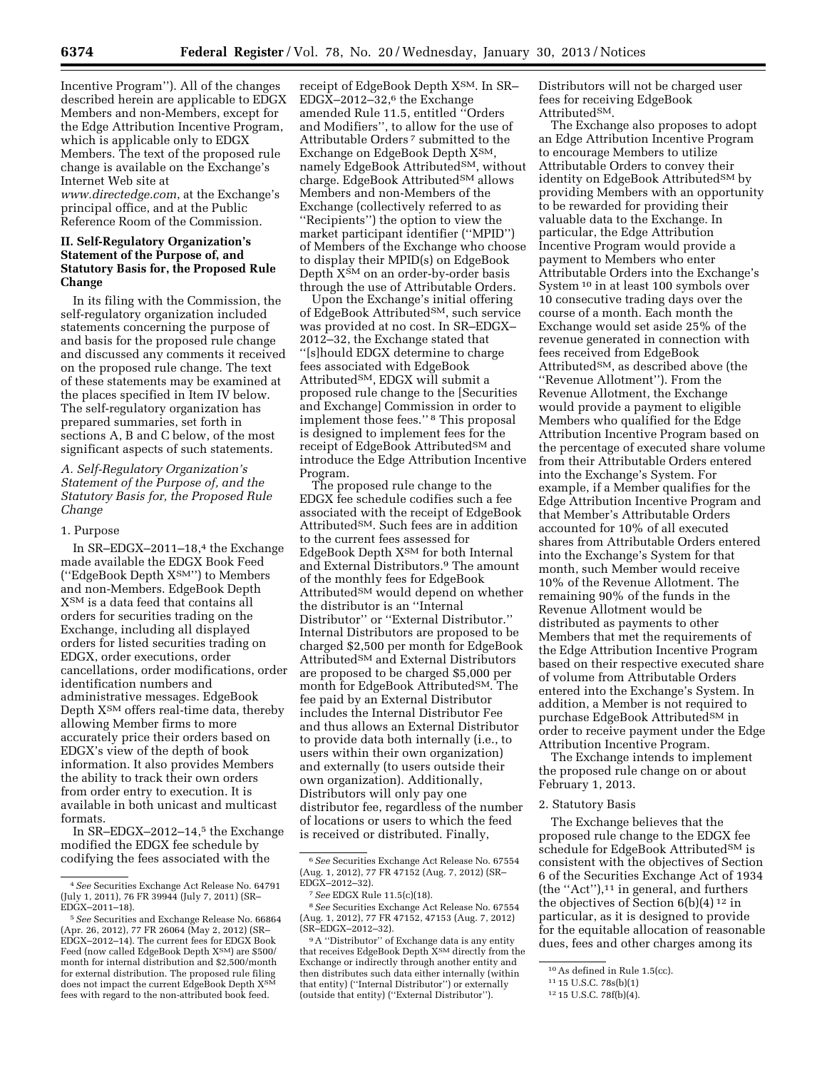Incentive Program''). All of the changes described herein are applicable to EDGX

Members and non-Members, except for the Edge Attribution Incentive Program, which is applicable only to EDGX Members. The text of the proposed rule change is available on the Exchange's Internet Web site at

*[www.directedge.com](http://www.directedge.com)*, at the Exchange's principal office, and at the Public Reference Room of the Commission.

### **II. Self-Regulatory Organization's Statement of the Purpose of, and Statutory Basis for, the Proposed Rule Change**

In its filing with the Commission, the self-regulatory organization included statements concerning the purpose of and basis for the proposed rule change and discussed any comments it received on the proposed rule change. The text of these statements may be examined at the places specified in Item IV below. The self-regulatory organization has prepared summaries, set forth in sections A, B and C below, of the most significant aspects of such statements.

*A. Self-Regulatory Organization's Statement of the Purpose of, and the Statutory Basis for, the Proposed Rule Change* 

#### 1. Purpose

In  $SR-EDGX-2011-18,4$  the Exchange made available the EDGX Book Feed (''EdgeBook Depth XSM'') to Members and non-Members. EdgeBook Depth XSM is a data feed that contains all orders for securities trading on the Exchange, including all displayed orders for listed securities trading on EDGX, order executions, order cancellations, order modifications, order identification numbers and administrative messages. EdgeBook Depth XSM offers real-time data, thereby allowing Member firms to more accurately price their orders based on EDGX's view of the depth of book information. It also provides Members the ability to track their own orders from order entry to execution. It is available in both unicast and multicast formats.

In SR–EDGX–2012–14,5 the Exchange modified the EDGX fee schedule by codifying the fees associated with the

receipt of EdgeBook Depth XSM. In SR– EDGX–2012–32,6 the Exchange amended Rule 11.5, entitled ''Orders and Modifiers'', to allow for the use of Attributable Orders 7 submitted to the Exchange on EdgeBook Depth XSM, namely EdgeBook Attributed<sup>SM</sup>, without charge. EdgeBook Attributed<sup>SM</sup> allows Members and non-Members of the Exchange (collectively referred to as ''Recipients'') the option to view the market participant identifier (''MPID'') of Members of the Exchange who choose to display their MPID(s) on EdgeBook Depth X<sup>SM</sup> on an order-by-order basis through the use of Attributable Orders.

Upon the Exchange's initial offering of EdgeBook Attributed<sup>SM</sup>, such service was provided at no cost. In SR–EDGX– 2012–32, the Exchange stated that ''[s]hould EDGX determine to charge fees associated with EdgeBook AttributedSM, EDGX will submit a proposed rule change to the [Securities and Exchange] Commission in order to implement those fees.'' 8 This proposal is designed to implement fees for the receipt of EdgeBook Attributed<sup>SM</sup> and introduce the Edge Attribution Incentive Program.

The proposed rule change to the EDGX fee schedule codifies such a fee associated with the receipt of EdgeBook AttributedSM. Such fees are in addition to the current fees assessed for EdgeBook Depth XSM for both Internal and External Distributors.9 The amount of the monthly fees for EdgeBook Attributed<sup>SM</sup> would depend on whether the distributor is an ''Internal Distributor'' or ''External Distributor.'' Internal Distributors are proposed to be charged \$2,500 per month for EdgeBook AttributedSM and External Distributors are proposed to be charged \$5,000 per month for EdgeBook Attributed<sup>SM</sup>. The fee paid by an External Distributor includes the Internal Distributor Fee and thus allows an External Distributor to provide data both internally (i.e., to users within their own organization) and externally (to users outside their own organization). Additionally, Distributors will only pay one distributor fee, regardless of the number of locations or users to which the feed is received or distributed. Finally,

8*See* Securities Exchange Act Release No. 67554 (Aug. 1, 2012), 77 FR 47152, 47153 (Aug. 7, 2012) (SR–EDGX–2012–32).

Distributors will not be charged user fees for receiving EdgeBook AttributedSM.

The Exchange also proposes to adopt an Edge Attribution Incentive Program to encourage Members to utilize Attributable Orders to convey their identity on EdgeBook Attributed<sup>SM</sup> by providing Members with an opportunity to be rewarded for providing their valuable data to the Exchange. In particular, the Edge Attribution Incentive Program would provide a payment to Members who enter Attributable Orders into the Exchange's System 10 in at least 100 symbols over 10 consecutive trading days over the course of a month. Each month the Exchange would set aside 25% of the revenue generated in connection with fees received from EdgeBook AttributedSM, as described above (the ''Revenue Allotment''). From the Revenue Allotment, the Exchange would provide a payment to eligible Members who qualified for the Edge Attribution Incentive Program based on the percentage of executed share volume from their Attributable Orders entered into the Exchange's System. For example, if a Member qualifies for the Edge Attribution Incentive Program and that Member's Attributable Orders accounted for 10% of all executed shares from Attributable Orders entered into the Exchange's System for that month, such Member would receive 10% of the Revenue Allotment. The remaining 90% of the funds in the Revenue Allotment would be distributed as payments to other Members that met the requirements of the Edge Attribution Incentive Program based on their respective executed share of volume from Attributable Orders entered into the Exchange's System. In addition, a Member is not required to purchase EdgeBook Attributed<sup>SM</sup> in order to receive payment under the Edge Attribution Incentive Program.

The Exchange intends to implement the proposed rule change on or about February 1, 2013.

#### 2. Statutory Basis

The Exchange believes that the proposed rule change to the EDGX fee schedule for EdgeBook Attributed<sup>SM</sup> is consistent with the objectives of Section 6 of the Securities Exchange Act of 1934 (the ''Act''),11 in general, and furthers the objectives of Section  $6(b)(4)^{12}$  in particular, as it is designed to provide for the equitable allocation of reasonable dues, fees and other charges among its

<sup>4</sup>*See* Securities Exchange Act Release No. 64791 (July 1, 2011), 76 FR 39944 (July 7, 2011) (SR– EDGX–2011–18).

<sup>5</sup>*See* Securities and Exchange Release No. 66864 (Apr. 26, 2012), 77 FR 26064 (May 2, 2012) (SR– EDGX–2012–14). The current fees for EDGX Book Feed (now called EdgeBook Depth XSM) are \$500/ month for internal distribution and \$2,500/month for external distribution. The proposed rule filing does not impact the current EdgeBook Depth XSM fees with regard to the non-attributed book feed.

<sup>6</sup>*See* Securities Exchange Act Release No. 67554 (Aug. 1, 2012), 77 FR 47152 (Aug. 7, 2012) (SR– EDGX–2012–32).

<sup>7</sup>*See* EDGX Rule 11.5(c)(18).

<sup>9</sup>A ''Distributor'' of Exchange data is any entity that receives EdgeBook Depth XSM directly from the Exchange or indirectly through another entity and then distributes such data either internally (within that entity) (''Internal Distributor'') or externally (outside that entity) (''External Distributor'').

<sup>10</sup>As defined in Rule 1.5(cc).

<sup>11</sup> 15 U.S.C. 78s(b)(1)

<sup>12</sup> 15 U.S.C. 78f(b)(4).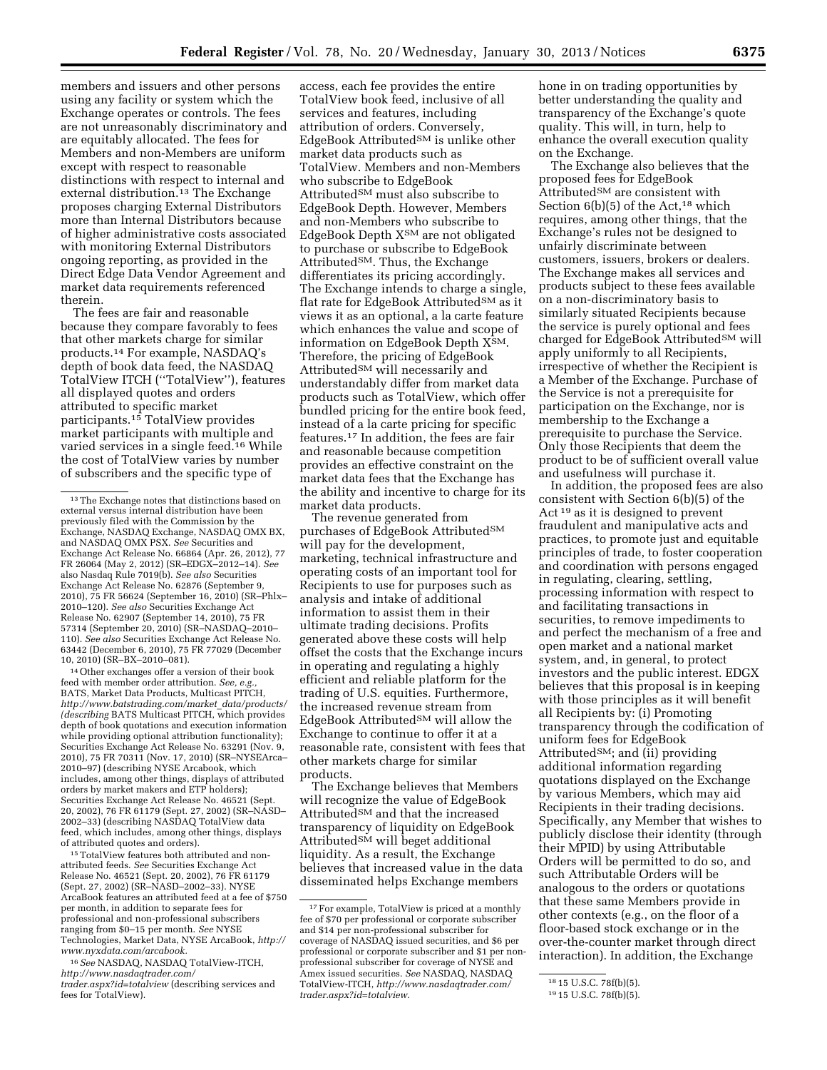members and issuers and other persons using any facility or system which the Exchange operates or controls. The fees are not unreasonably discriminatory and are equitably allocated. The fees for Members and non-Members are uniform except with respect to reasonable distinctions with respect to internal and external distribution.13 The Exchange proposes charging External Distributors more than Internal Distributors because of higher administrative costs associated with monitoring External Distributors ongoing reporting, as provided in the Direct Edge Data Vendor Agreement and market data requirements referenced therein.

The fees are fair and reasonable because they compare favorably to fees that other markets charge for similar products.14 For example, NASDAQ's depth of book data feed, the NASDAQ TotalView ITCH (''TotalView''), features all displayed quotes and orders attributed to specific market participants.15 TotalView provides market participants with multiple and varied services in a single feed.16 While the cost of TotalView varies by number of subscribers and the specific type of

14Other exchanges offer a version of their book feed with member order attribution. See, e.g. BATS, Market Data Products, Multicast PITCH, *[http://www.batstrading.com/market](http://www.batstrading.com/market_data/products/)*\_*data/products/ (describing* BATS Multicast PITCH, which provides depth of book quotations and execution information while providing optional attribution functionality); Securities Exchange Act Release No. 63291 (Nov. 9, 2010), 75 FR 70311 (Nov. 17, 2010) (SR–NYSEArca– 2010–97) (describing NYSE Arcabook, which includes, among other things, displays of attributed orders by market makers and ETP holders); Securities Exchange Act Release No. 46521 (Sept. 20, 2002), 76 FR 61179 (Sept. 27, 2002) (SR–NASD– 2002–33) (describing NASDAQ TotalView data feed, which includes, among other things, displays of attributed quotes and orders).

15TotalView features both attributed and nonattributed feeds. *See* Securities Exchange Act Release No. 46521 (Sept. 20, 2002), 76 FR 61179 (Sept. 27, 2002) (SR–NASD–2002–33). NYSE ArcaBook features an attributed feed at a fee of \$750 per month, in addition to separate fees for professional and non-professional subscribers ranging from \$0–15 per month. *See* NYSE Technologies, Market Data, NYSE ArcaBook, *[http://](http://www.nyxdata.com/arcabook) [www.nyxdata.com/arcabook.](http://www.nyxdata.com/arcabook)* 

16*See* NASDAQ, NASDAQ TotalView-ITCH, *[http://www.nasdaqtrader.com/](http://www.nasdaqtrader.com/trader.aspx?id=totalview)  [trader.aspx?id=totalview](http://www.nasdaqtrader.com/trader.aspx?id=totalview)* (describing services and fees for TotalView).

access, each fee provides the entire TotalView book feed, inclusive of all services and features, including attribution of orders. Conversely, EdgeBook AttributedSM is unlike other market data products such as TotalView. Members and non-Members who subscribe to EdgeBook AttributedSM must also subscribe to EdgeBook Depth. However, Members and non-Members who subscribe to EdgeBook Depth XSM are not obligated to purchase or subscribe to EdgeBook AttributedSM. Thus, the Exchange differentiates its pricing accordingly. The Exchange intends to charge a single, flat rate for EdgeBook Attributed<sup>SM</sup> as it views it as an optional, a la carte feature which enhances the value and scope of information on EdgeBook Depth XSM. Therefore, the pricing of EdgeBook Attributed<sup>SM</sup> will necessarily and understandably differ from market data products such as TotalView, which offer bundled pricing for the entire book feed, instead of a la carte pricing for specific features.17 In addition, the fees are fair and reasonable because competition provides an effective constraint on the market data fees that the Exchange has the ability and incentive to charge for its market data products.

The revenue generated from purchases of EdgeBook Attributed<sup>SM</sup> will pay for the development, marketing, technical infrastructure and operating costs of an important tool for Recipients to use for purposes such as analysis and intake of additional information to assist them in their ultimate trading decisions. Profits generated above these costs will help offset the costs that the Exchange incurs in operating and regulating a highly efficient and reliable platform for the trading of U.S. equities. Furthermore, the increased revenue stream from EdgeBook AttributedSM will allow the Exchange to continue to offer it at a reasonable rate, consistent with fees that other markets charge for similar products.

The Exchange believes that Members will recognize the value of EdgeBook Attributed<sup>SM</sup> and that the increased transparency of liquidity on EdgeBook Attributed<sup>SM</sup> will beget additional liquidity. As a result, the Exchange believes that increased value in the data disseminated helps Exchange members

hone in on trading opportunities by better understanding the quality and transparency of the Exchange's quote quality. This will, in turn, help to enhance the overall execution quality on the Exchange.

The Exchange also believes that the proposed fees for EdgeBook Attributed<sup>SM</sup> are consistent with Section  $6(b)(5)$  of the Act,<sup>18</sup> which requires, among other things, that the Exchange's rules not be designed to unfairly discriminate between customers, issuers, brokers or dealers. The Exchange makes all services and products subject to these fees available on a non-discriminatory basis to similarly situated Recipients because the service is purely optional and fees charged for EdgeBook Attributed<sup>SM</sup> will apply uniformly to all Recipients, irrespective of whether the Recipient is a Member of the Exchange. Purchase of the Service is not a prerequisite for participation on the Exchange, nor is membership to the Exchange a prerequisite to purchase the Service. Only those Recipients that deem the product to be of sufficient overall value and usefulness will purchase it.

In addition, the proposed fees are also consistent with Section 6(b)(5) of the Act 19 as it is designed to prevent fraudulent and manipulative acts and practices, to promote just and equitable principles of trade, to foster cooperation and coordination with persons engaged in regulating, clearing, settling, processing information with respect to and facilitating transactions in securities, to remove impediments to and perfect the mechanism of a free and open market and a national market system, and, in general, to protect investors and the public interest. EDGX believes that this proposal is in keeping with those principles as it will benefit all Recipients by: (i) Promoting transparency through the codification of uniform fees for EdgeBook Attributed<sup>SM</sup>; and (ii) providing additional information regarding quotations displayed on the Exchange by various Members, which may aid Recipients in their trading decisions. Specifically, any Member that wishes to publicly disclose their identity (through their MPID) by using Attributable Orders will be permitted to do so, and such Attributable Orders will be analogous to the orders or quotations that these same Members provide in other contexts (e.g., on the floor of a floor-based stock exchange or in the over-the-counter market through direct interaction). In addition, the Exchange

<sup>13</sup>The Exchange notes that distinctions based on external versus internal distribution have been previously filed with the Commission by the Exchange, NASDAQ Exchange, NASDAQ OMX BX, and NASDAQ OMX PSX. *See* Securities and Exchange Act Release No. 66864 (Apr. 26, 2012), 77 FR 26064 (May 2, 2012) (SR–EDGX–2012–14). *See*  also Nasdaq Rule 7019(b). *See also* Securities Exchange Act Release No. 62876 (September 9, 2010), 75 FR 56624 (September 16, 2010) (SR–Phlx– 2010–120). *See also* Securities Exchange Act Release No. 62907 (September 14, 2010), 75 FR 57314 (September 20, 2010) (SR–NASDAQ–2010– 110). *See also* Securities Exchange Act Release No. 63442 (December 6, 2010), 75 FR 77029 (December 10, 2010) (SR–BX–2010–081).

<sup>&</sup>lt;sup>17</sup> For example, TotalView is priced at a monthly fee of \$70 per professional or corporate subscriber and \$14 per non-professional subscriber for coverage of NASDAQ issued securities, and \$6 per professional or corporate subscriber and \$1 per nonprofessional subscriber for coverage of NYSE and Amex issued securities. *See* NASDAQ, NASDAQ TotalView-ITCH, *[http://www.nasdaqtrader.com/](http://www.nasdaqtrader.com/trader.aspx?id=totalview) [trader.aspx?id=totalview.](http://www.nasdaqtrader.com/trader.aspx?id=totalview)* 

<sup>18</sup> 15 U.S.C. 78f(b)(5).

<sup>19</sup> 15 U.S.C. 78f(b)(5).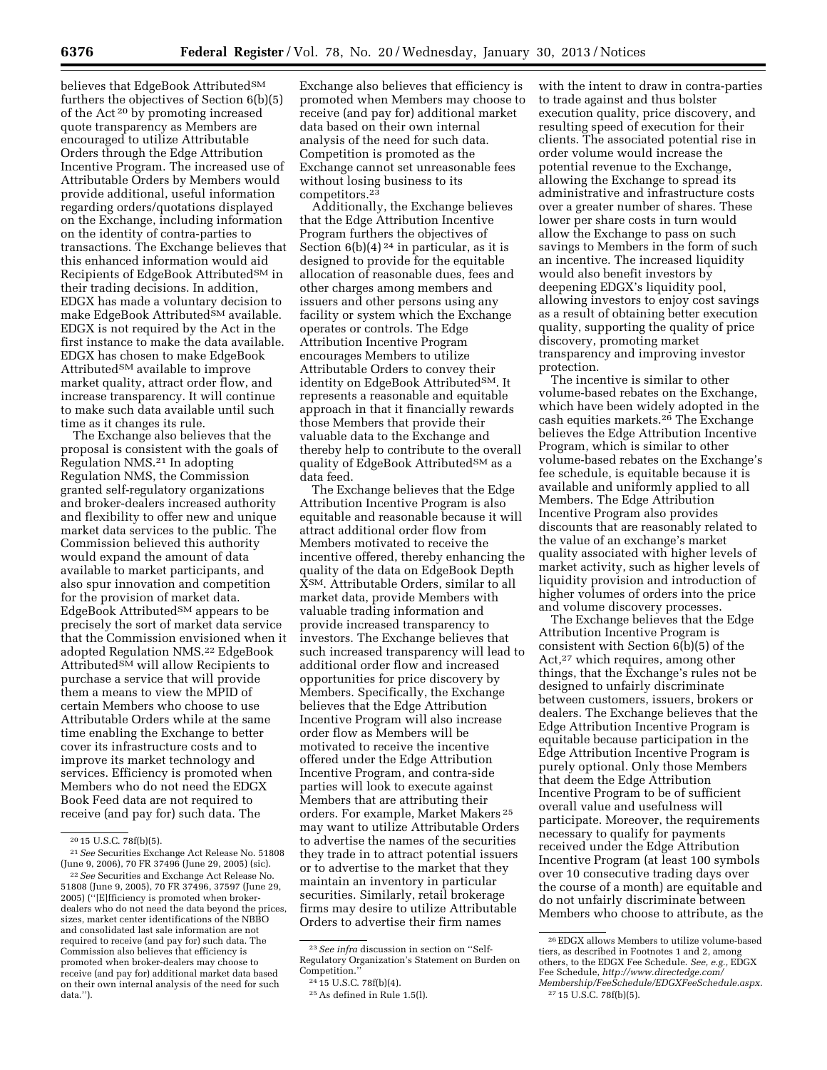believes that EdgeBook Attributed<sup>SM</sup> furthers the objectives of Section 6(b)(5) of the Act 20 by promoting increased quote transparency as Members are encouraged to utilize Attributable Orders through the Edge Attribution Incentive Program. The increased use of Attributable Orders by Members would provide additional, useful information regarding orders/quotations displayed on the Exchange, including information on the identity of contra-parties to transactions. The Exchange believes that this enhanced information would aid Recipients of EdgeBook Attributed<sup>SM</sup> in their trading decisions. In addition, EDGX has made a voluntary decision to make EdgeBook Attributed<sup>SM</sup> available. EDGX is not required by the Act in the first instance to make the data available. EDGX has chosen to make EdgeBook Attributed<sup>SM</sup> available to improve market quality, attract order flow, and increase transparency. It will continue to make such data available until such time as it changes its rule.

The Exchange also believes that the proposal is consistent with the goals of Regulation NMS.21 In adopting Regulation NMS, the Commission granted self-regulatory organizations and broker-dealers increased authority and flexibility to offer new and unique market data services to the public. The Commission believed this authority would expand the amount of data available to market participants, and also spur innovation and competition for the provision of market data. EdgeBook Attributed<sup>SM</sup> appears to be precisely the sort of market data service that the Commission envisioned when it adopted Regulation NMS.22 EdgeBook Attributed<sup>SM</sup> will allow Recipients to purchase a service that will provide them a means to view the MPID of certain Members who choose to use Attributable Orders while at the same time enabling the Exchange to better cover its infrastructure costs and to improve its market technology and services. Efficiency is promoted when Members who do not need the EDGX Book Feed data are not required to receive (and pay for) such data. The

Exchange also believes that efficiency is promoted when Members may choose to receive (and pay for) additional market data based on their own internal analysis of the need for such data. Competition is promoted as the Exchange cannot set unreasonable fees without losing business to its competitors.23

Additionally, the Exchange believes that the Edge Attribution Incentive Program furthers the objectives of Section  $6(b)(4)^{24}$  in particular, as it is designed to provide for the equitable allocation of reasonable dues, fees and other charges among members and issuers and other persons using any facility or system which the Exchange operates or controls. The Edge Attribution Incentive Program encourages Members to utilize Attributable Orders to convey their identity on EdgeBook AttributedSM. It represents a reasonable and equitable approach in that it financially rewards those Members that provide their valuable data to the Exchange and thereby help to contribute to the overall quality of EdgeBook Attributed<sup>SM</sup> as a data feed.

The Exchange believes that the Edge Attribution Incentive Program is also equitable and reasonable because it will attract additional order flow from Members motivated to receive the incentive offered, thereby enhancing the quality of the data on EdgeBook Depth XSM. Attributable Orders, similar to all market data, provide Members with valuable trading information and provide increased transparency to investors. The Exchange believes that such increased transparency will lead to additional order flow and increased opportunities for price discovery by Members. Specifically, the Exchange believes that the Edge Attribution Incentive Program will also increase order flow as Members will be motivated to receive the incentive offered under the Edge Attribution Incentive Program, and contra-side parties will look to execute against Members that are attributing their orders. For example, Market Makers 25 may want to utilize Attributable Orders to advertise the names of the securities they trade in to attract potential issuers or to advertise to the market that they maintain an inventory in particular securities. Similarly, retail brokerage firms may desire to utilize Attributable Orders to advertise their firm names

with the intent to draw in contra-parties to trade against and thus bolster execution quality, price discovery, and resulting speed of execution for their clients. The associated potential rise in order volume would increase the potential revenue to the Exchange, allowing the Exchange to spread its administrative and infrastructure costs over a greater number of shares. These lower per share costs in turn would allow the Exchange to pass on such savings to Members in the form of such an incentive. The increased liquidity would also benefit investors by deepening EDGX's liquidity pool, allowing investors to enjoy cost savings as a result of obtaining better execution quality, supporting the quality of price discovery, promoting market transparency and improving investor protection.

The incentive is similar to other volume-based rebates on the Exchange, which have been widely adopted in the cash equities markets.26 The Exchange believes the Edge Attribution Incentive Program, which is similar to other volume-based rebates on the Exchange's fee schedule, is equitable because it is available and uniformly applied to all Members. The Edge Attribution Incentive Program also provides discounts that are reasonably related to the value of an exchange's market quality associated with higher levels of market activity, such as higher levels of liquidity provision and introduction of higher volumes of orders into the price and volume discovery processes.

The Exchange believes that the Edge Attribution Incentive Program is consistent with Section 6(b)(5) of the Act,27 which requires, among other things, that the Exchange's rules not be designed to unfairly discriminate between customers, issuers, brokers or dealers. The Exchange believes that the Edge Attribution Incentive Program is equitable because participation in the Edge Attribution Incentive Program is purely optional. Only those Members that deem the Edge Attribution Incentive Program to be of sufficient overall value and usefulness will participate. Moreover, the requirements necessary to qualify for payments received under the Edge Attribution Incentive Program (at least 100 symbols over 10 consecutive trading days over the course of a month) are equitable and do not unfairly discriminate between Members who choose to attribute, as the

<sup>20</sup> 15 U.S.C. 78f(b)(5).

<sup>21</sup>*See* Securities Exchange Act Release No. 51808 (June 9, 2006), 70 FR 37496 (June 29, 2005) (sic).

<sup>22</sup>*See* Securities and Exchange Act Release No. 51808 (June 9, 2005), 70 FR 37496, 37597 (June 29, 2005) (''[E]fficiency is promoted when brokerdealers who do not need the data beyond the prices, sizes, market center identifications of the NBBO and consolidated last sale information are not required to receive (and pay for) such data. The Commission also believes that efficiency is promoted when broker-dealers may choose to receive (and pay for) additional market data based on their own internal analysis of the need for such data.'').

<sup>23</sup>*See infra* discussion in section on ''Self-Regulatory Organization's Statement on Burden on Competition.

<sup>24</sup> 15 U.S.C. 78f(b)(4).

<sup>25</sup>As defined in Rule 1.5(l).

<sup>26</sup>EDGX allows Members to utilize volume-based tiers, as described in Footnotes 1 and 2, among others, to the EDGX Fee Schedule. *See, e.g.,* EDGX Fee Schedule, *[http://www.directedge.com/](http://www.directedge.com/Membership/FeeSchedule/EDGXFeeSchedule.aspx) [Membership/FeeSchedule/EDGXFeeSchedule.aspx.](http://www.directedge.com/Membership/FeeSchedule/EDGXFeeSchedule.aspx)*  27 15 U.S.C. 78f(b)(5).